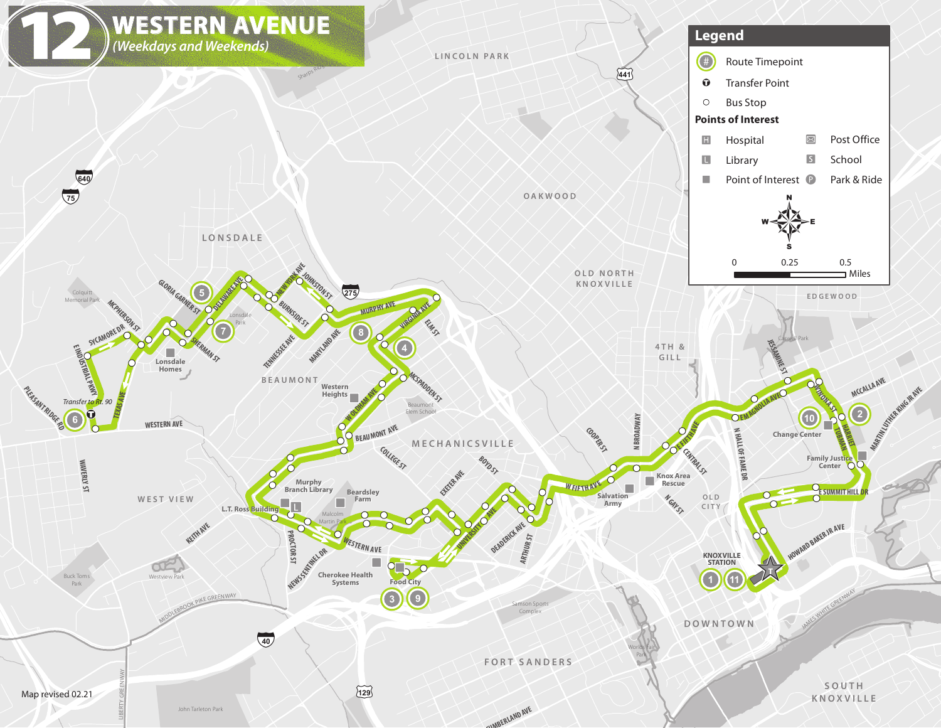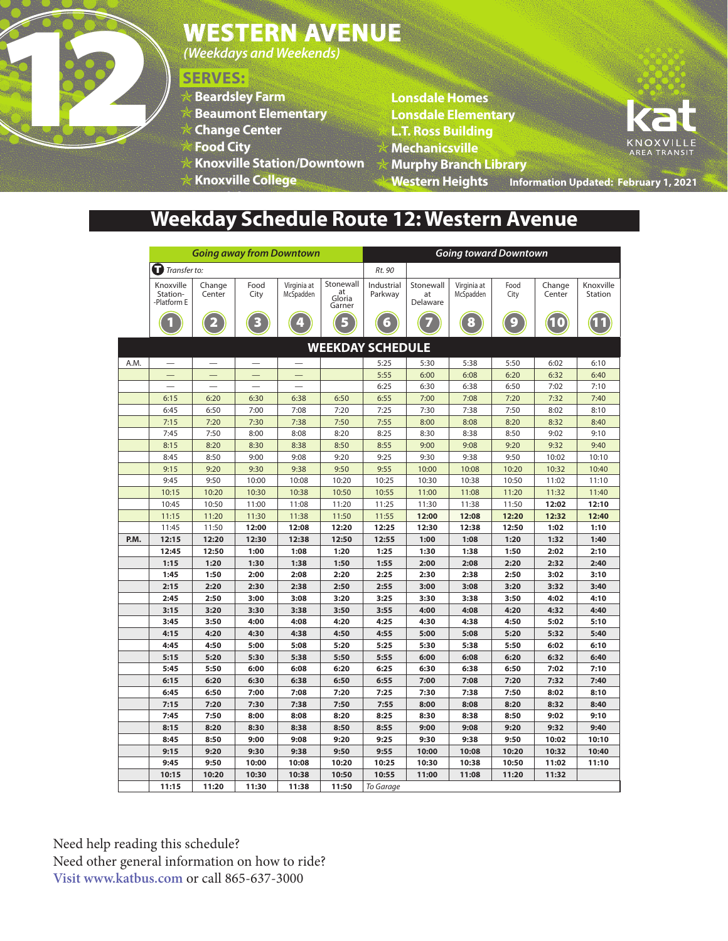

*(Weekdays and Weekends)*

### **SERVES:**

- **Beardsley Farm**
- **Beaumont Elementary**
- **Change Center**
- **Food City**
- **Knoxville Station/Downtown**
- **Knoxville College Lonsdale Homes**
- **Lonsdale Homes**
- **Lonsdale Elementary**
- **L.T. Ross Building**
- **Mechanicsville**
- **Murphy Branch Library**

**Information Updated: February 1, 2021 Western Heights**

# **Weekday Schedule Route 12: Western Avenue**

|      | <b>Going away from Downtown</b>      |                  |               |                          |                                     | <b>Going toward Downtown</b> |                             |                          |              |                  |                             |
|------|--------------------------------------|------------------|---------------|--------------------------|-------------------------------------|------------------------------|-----------------------------|--------------------------|--------------|------------------|-----------------------------|
|      | Transfer to:                         |                  |               |                          |                                     | Rt. 90                       |                             |                          |              |                  |                             |
|      | Knoxville<br>Station-<br>-Platform E | Change<br>Center | Food<br>City  | Virginia at<br>McSpadden | Stonewall<br>at<br>Gloria<br>Garner | Industrial<br>Parkway        | Stonewall<br>at<br>Delaware | Virginia at<br>McSpadden | Food<br>City | Change<br>Center | Knoxville<br><b>Station</b> |
|      |                                      |                  |               |                          |                                     | പ                            |                             | 8                        |              |                  |                             |
|      |                                      |                  |               |                          | <b>WEEKDAY SCHEDULE</b>             |                              |                             |                          |              |                  |                             |
| A.M. |                                      |                  |               |                          |                                     | 5:25                         | 5:30                        | 5:38                     | 5:50         | 6:02             | 6:10                        |
|      |                                      |                  |               |                          |                                     | 5:55                         | 6:00                        | 6:08                     | 6:20         | 6:32             | 6:40                        |
|      |                                      |                  |               |                          |                                     | 6:25                         | 6:30                        | 6:38                     | 6:50         | 7:02             | 7:10                        |
|      | 6:15                                 | 6:20             | 6:30          | 6:38                     | 6:50                                | 6:55                         | 7:00                        | 7:08                     | 7:20         | 7:32             | 7:40                        |
|      | 6:45                                 | 6:50             | 7:00          | 7:08                     | 7:20                                | 7:25                         | 7:30                        | 7:38                     | 7:50         | 8:02             | 8:10                        |
|      | 7:15                                 | 7:20             | 7:30          | 7:38                     | 7:50                                | 7:55                         | 8:00                        | 8:08                     | 8:20         | 8:32             | 8:40                        |
|      | 7:45                                 | 7:50             | 8:00          | 8:08                     | 8:20                                | 8:25                         | 8:30                        | 8:38                     | 8:50         | 9:02             | 9:10                        |
|      | 8:15                                 | 8:20             | 8:30          | 8:38                     | 8:50                                | 8:55                         | 9:00                        | 9:08                     | 9:20         | 9:32             | 9:40                        |
|      | 8:45                                 | 8:50             | 9:00          | 9:08                     | 9:20                                | 9:25                         | 9:30                        | 9:38                     | 9:50         | 10:02            | 10:10                       |
|      | 9:15                                 | 9:20             | 9:30          | 9:38                     | 9:50                                | 9:55                         | 10:00                       | 10:08                    | 10:20        | 10:32            | 10:40                       |
|      | 9:45                                 | 9:50             | 10:00         | 10:08                    | 10:20                               | 10:25                        | 10:30                       | 10:38                    | 10:50        | 11:02            | 11:10                       |
|      | 10:15                                | 10:20            | 10:30         | 10:38                    | 10:50                               | 10:55                        | 11:00                       | 11:08                    | 11:20        | 11:32            | 11:40                       |
|      | 10:45                                | 10:50            | 11:00         | 11:08                    | 11:20                               | 11:25                        | 11:30                       | 11:38                    | 11:50        | 12:02            | 12:10                       |
|      | 11:15                                | 11:20            | 11:30         | 11:38                    | 11:50                               | 11:55                        | 12:00                       | 12:08                    | 12:20        | 12:32            | 12:40                       |
|      | 11:45                                | 11:50            | 12:00         | 12:08                    | 12:20                               | 12:25                        | 12:30                       | 12:38                    | 12:50        | 1:02             | 1:10                        |
| P.M. | 12:15<br>12:45                       | 12:20<br>12:50   | 12:30<br>1:00 | 12:38<br>1:08            | 12:50<br>1:20                       | 12:55<br>1:25                | 1:00<br>1:30                | 1:08<br>1:38             | 1:20<br>1:50 | 1:32<br>2:02     | 1:40<br>2:10                |
|      | 1:15                                 | 1:20             | 1:30          | 1:38                     | 1:50                                | 1:55                         | 2:00                        | 2:08                     | 2:20         | 2:32             | 2:40                        |
|      | 1:45                                 | 1:50             | 2:00          | 2:08                     | 2:20                                | 2:25                         | 2:30                        | 2:38                     | 2:50         | 3:02             | 3:10                        |
|      | 2:15                                 | 2:20             | 2:30          | 2:38                     | 2:50                                | 2:55                         | 3:00                        | 3:08                     | 3:20         | 3:32             | 3:40                        |
|      | 2:45                                 | 2:50             | 3:00          | 3:08                     | 3:20                                | 3:25                         | 3:30                        | 3:38                     | 3:50         | 4:02             | 4:10                        |
|      | 3:15                                 | 3:20             | 3:30          | 3:38                     | 3:50                                | 3:55                         | 4:00                        | 4:08                     | 4:20         | 4:32             | 4:40                        |
|      | 3:45                                 | 3:50             | 4:00          | 4:08                     | 4:20                                | 4:25                         | 4:30                        | 4:38                     | 4:50         | 5:02             | 5:10                        |
|      | 4:15                                 | 4:20             | 4:30          | 4:38                     | 4:50                                | 4:55                         | 5:00                        | 5:08                     | 5:20         | 5:32             | 5:40                        |
|      | 4:45                                 | 4:50             | 5:00          | 5:08                     | 5:20                                | 5:25                         | 5:30                        | 5:38                     | 5:50         | 6:02             | 6:10                        |
|      | 5:15                                 | 5:20             | 5:30          | 5:38                     | 5:50                                | 5:55                         | 6:00                        | 6:08                     | 6:20         | 6:32             | 6:40                        |
|      | 5:45                                 | 5:50             | 6:00          | 6:08                     | 6:20                                | 6:25                         | 6:30                        | 6:38                     | 6:50         | 7:02             | 7:10                        |
|      | 6:15                                 | 6:20             | 6:30          | 6:38                     | 6:50                                | 6:55                         | 7:00                        | 7:08                     | 7:20         | 7:32             | 7:40                        |
|      | 6:45                                 | 6:50             | 7:00          | 7:08                     | 7:20                                | 7:25                         | 7:30                        | 7:38                     | 7:50         | 8:02             | 8:10                        |
|      | 7:15                                 | 7:20             | 7:30          | 7:38                     | 7:50                                | 7:55                         | 8:00                        | 8:08                     | 8:20         | 8:32             | 8:40                        |
|      | 7:45                                 | 7:50             | 8:00          | 8:08                     | 8:20                                | 8:25                         | 8:30                        | 8:38                     | 8:50         | 9:02             | 9:10                        |
|      | 8:15                                 | 8:20             | 8:30          | 8:38                     | 8:50                                | 8:55                         | 9:00                        | 9:08                     | 9:20         | 9:32             | 9:40                        |
|      | 8:45                                 | 8:50             | 9:00          | 9:08                     | 9:20                                | 9:25                         | 9:30                        | 9:38                     | 9:50         | 10:02            | 10:10                       |
|      | 9:15                                 | 9:20             | 9:30          | 9:38                     | 9:50                                | 9:55                         | 10:00                       | 10:08                    | 10:20        | 10:32            | 10:40                       |
|      | 9:45                                 | 9:50             | 10:00         | 10:08                    | 10:20                               | 10:25                        | 10:30                       | 10:38                    | 10:50        | 11:02            | 11:10                       |
|      | 10:15                                | 10:20            | 10:30         | 10:38                    | 10:50                               | 10:55                        | 11:00                       | 11:08                    | 11:20        | 11:32            |                             |
|      | 11:15                                | 11:20            | 11:30         | 11:38                    | 11:50                               | To Garage                    |                             |                          |              |                  |                             |

Need help reading this schedule? Need other general information on how to ride? **Visit www.katbus.com** or call 865-637-3000